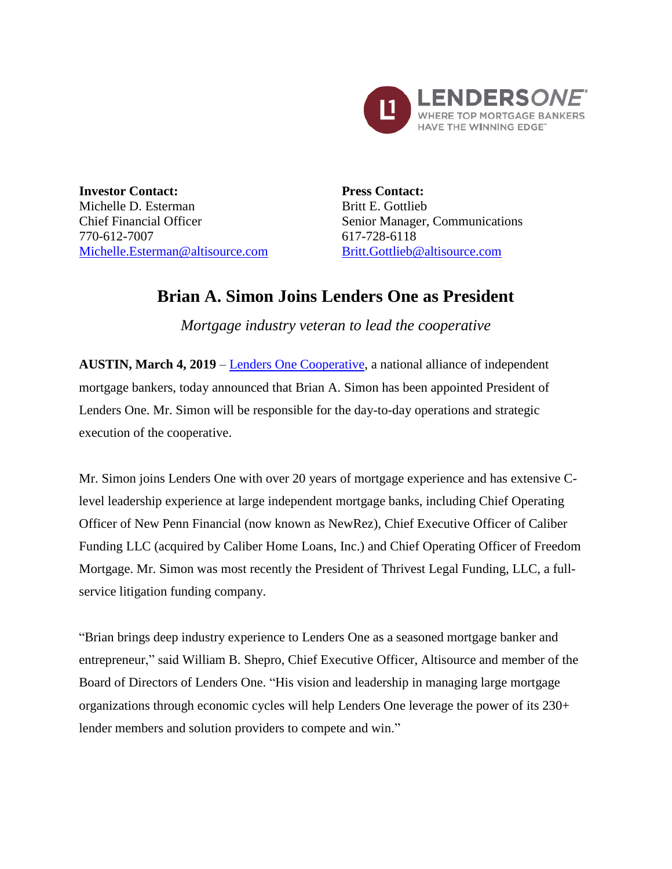

**Investor Contact:** Michelle D. Esterman Chief Financial Officer 770-612-7007 Michelle.Esterman@altisource.com **Press Contact:** Britt E. Gottlieb Senior Manager, Communications 617-728-6118 [Britt.Gottlieb@altisource.com](mailto:Britt.Gottlieb@altisource.com)

## **Brian A. Simon Joins Lenders One as President**

*Mortgage industry veteran to lead the cooperative*

**AUSTIN, March 4, 2019** – [Lenders One Cooperative,](https://lendersone.com/?utm_source=globenewswire&utm_medium=press%20coverage&utm_campaign=190304-PRL-BrianSimonAnnouncement&utm_content=first%20link) a national alliance of independent mortgage bankers, today announced that Brian A. Simon has been appointed President of Lenders One. Mr. Simon will be responsible for the day-to-day operations and strategic execution of the cooperative.

Mr. Simon joins Lenders One with over 20 years of mortgage experience and has extensive Clevel leadership experience at large independent mortgage banks, including Chief Operating Officer of New Penn Financial (now known as NewRez), Chief Executive Officer of Caliber Funding LLC (acquired by Caliber Home Loans, Inc.) and Chief Operating Officer of Freedom Mortgage. Mr. Simon was most recently the President of Thrivest Legal Funding, LLC, a fullservice litigation funding company.

"Brian brings deep industry experience to Lenders One as a seasoned mortgage banker and entrepreneur," said William B. Shepro, Chief Executive Officer, Altisource and member of the Board of Directors of Lenders One. "His vision and leadership in managing large mortgage organizations through economic cycles will help Lenders One leverage the power of its 230+ lender members and solution providers to compete and win."